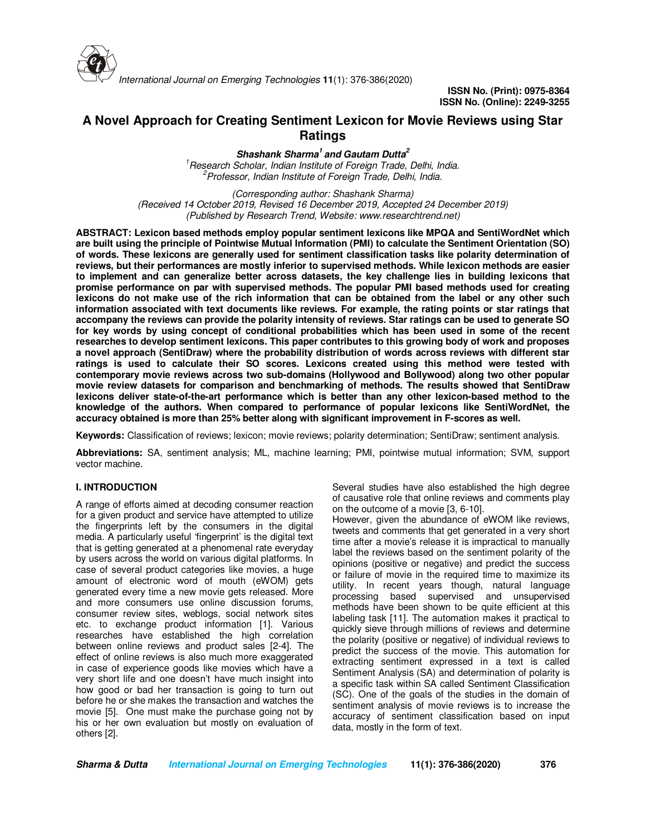

# **A Novel Approach for Creating Sentiment Lexicon for Movie Reviews using Star Ratings**

**Shashank Sharma<sup>1</sup>and Gautam Dutta<sup>2</sup>** *<sup>1</sup>Research Scholar, Indian Institute of Foreign Trade, Delhi, India. <sup>2</sup>Professor, Indian Institute of Foreign Trade, Delhi, India.*

*(Corresponding author: Shashank Sharma) (Received 14 October 2019, Revised 16 December 2019, Accepted 24 December 2019) (Published by Research Trend, Website: www.researchtrend.net)*

**ABSTRACT: Lexicon based methods employ popular sentiment lexicons like MPQA and SentiWordNet which are built using the principle of Pointwise Mutual Information (PMI) to calculate the Sentiment Orientation (SO) of words. These lexicons are generally used for sentiment classification tasks like polarity determination of reviews, but their performances are mostly inferior to supervised methods. While lexicon methods are easier to implement and can generalize better across datasets, the key challenge lies in building lexicons that promise performance on par with supervised methods. The popular PMI based methods used for creating lexicons do not make use of the rich information that can be obtained from the label or any other such information associated with text documents like reviews. For example, the rating points or star ratings that accompany the reviews can provide the polarity intensity of reviews. Star ratings can be used to generate SO for key words by using concept of conditional probabilities which has been used in some of the recent researches to develop sentiment lexicons. This paper contributes to this growing body of work and proposes a novel approach (SentiDraw) where the probability distribution of words across reviews with different star ratings is used to calculate their SO scores. Lexicons created using this method were tested with contemporary movie reviews across two sub-domains (Hollywood and Bollywood) along two other popular movie review datasets for comparison and benchmarking of methods. The results showed that SentiDraw lexicons deliver state-of-the-art performance which is better than any other lexicon-based method to the knowledge of the authors. When compared to performance of popular lexicons like SentiWordNet, the accuracy obtained is more than 25% better along with significant improvement in F-scores as well.** 

**Keywords:** Classification of reviews; lexicon; movie reviews; polarity determination; SentiDraw; sentiment analysis.

**Abbreviations:** SA, sentiment analysis; ML, machine learning; PMI, pointwise mutual information; SVM, support vector machine.

# **I. INTRODUCTION**

A range of efforts aimed at decoding consumer reaction for a given product and service have attempted to utilize the fingerprints left by the consumers in the digital media. A particularly useful 'fingerprint' is the digital text that is getting generated at a phenomenal rate everyday by users across the world on various digital platforms. In case of several product categories like movies, a huge amount of electronic word of mouth (eWOM) gets generated every time a new movie gets released. More and more consumers use online discussion forums, consumer review sites, weblogs, social network sites etc. to exchange product information [1]. Various researches have established the high correlation between online reviews and product sales [2-4]. The effect of online reviews is also much more exaggerated in case of experience goods like movies which have a very short life and one doesn't have much insight into how good or bad her transaction is going to turn out before he or she makes the transaction and watches the movie [5]. One must make the purchase going not by his or her own evaluation but mostly on evaluation of others [2].

Several studies have also established the high degree of causative role that online reviews and comments play on the outcome of a movie [3, 6-10].

However, given the abundance of eWOM like reviews, tweets and comments that get generated in a very short time after a movie's release it is impractical to manually label the reviews based on the sentiment polarity of the opinions (positive or negative) and predict the success or failure of movie in the required time to maximize its utility. In recent years though, natural language processing based supervised and unsupervised methods have been shown to be quite efficient at this labeling task [11]. The automation makes it practical to quickly sieve through millions of reviews and determine the polarity (positive or negative) of individual reviews to predict the success of the movie. This automation for extracting sentiment expressed in a text is called Sentiment Analysis (SA) and determination of polarity is a specific task within SA called Sentiment Classification (SC). One of the goals of the studies in the domain of sentiment analysis of movie reviews is to increase the accuracy of sentiment classification based on input data, mostly in the form of text.

**Sharma & Dutta International Journal on Emerging Technologies 11(1): 376-386(2020) 376**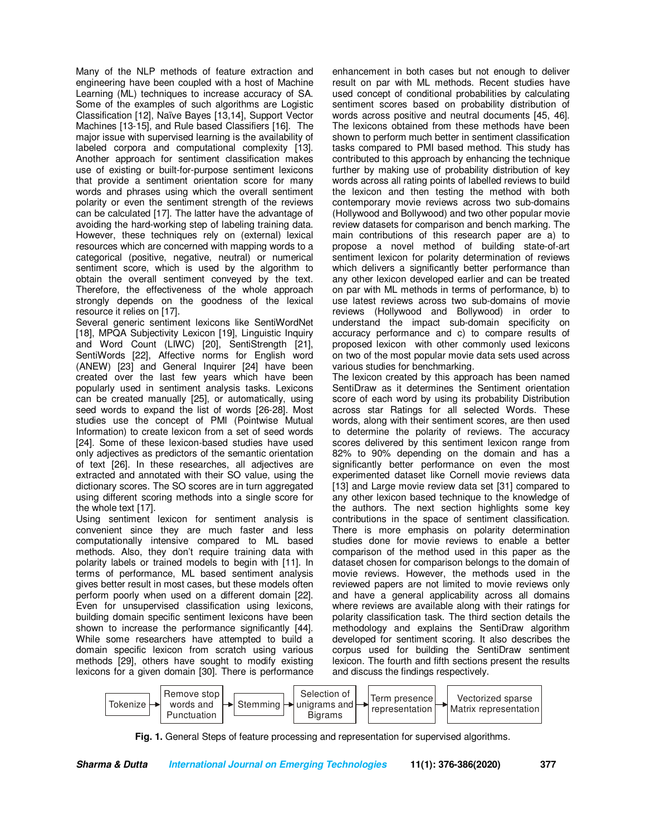Many of the NLP methods of feature extraction and engineering have been coupled with a host of Machine Learning (ML) techniques to increase accuracy of SA. Some of the examples of such algorithms are Logistic Classification [12], Naïve Bayes [13,14], Support Vector Machines [13-15], and Rule based Classifiers [16]. The major issue with supervised learning is the availability of labeled corpora and computational complexity [13]. Another approach for sentiment classification makes use of existing or built-for-purpose sentiment lexicons that provide a sentiment orientation score for many words and phrases using which the overall sentiment polarity or even the sentiment strength of the reviews can be calculated [17]. The latter have the advantage of avoiding the hard-working step of labeling training data. However, these techniques rely on (external) lexical resources which are concerned with mapping words to a categorical (positive, negative, neutral) or numerical sentiment score, which is used by the algorithm to obtain the overall sentiment conveyed by the text. Therefore, the effectiveness of the whole approach strongly depends on the goodness of the lexical resource it relies on [17].

Several generic sentiment lexicons like SentiWordNet [18], MPQA Subjectivity Lexicon [19], Linguistic Inquiry and Word Count (LIWC) [20], SentiStrength [21], SentiWords [22], Affective norms for English word (ANEW) [23] and General Inquirer [24] have been created over the last few years which have been popularly used in sentiment analysis tasks. Lexicons can be created manually [25], or automatically, using seed words to expand the list of words [26-28]. Most studies use the concept of PMI (Pointwise Mutual Information) to create lexicon from a set of seed words [24]. Some of these lexicon-based studies have used only adjectives as predictors of the semantic orientation of text [26]. In these researches, all adjectives are extracted and annotated with their SO value, using the dictionary scores. The SO scores are in turn aggregated using different scoring methods into a single score for the whole text [17].

Using sentiment lexicon for sentiment analysis is convenient since they are much faster and less computationally intensive compared to ML based methods. Also, they don't require training data with polarity labels or trained models to begin with [11]. In terms of performance, ML based sentiment analysis gives better result in most cases, but these models often perform poorly when used on a different domain [22]. Even for unsupervised classification using lexicons, building domain specific sentiment lexicons have been shown to increase the performance significantly [44]. While some researchers have attempted to build a domain specific lexicon from scratch using various methods [29], others have sought to modify existing lexicons for a given domain [30]. There is performance

enhancement in both cases but not enough to deliver result on par with ML methods. Recent studies have used concept of conditional probabilities by calculating sentiment scores based on probability distribution of words across positive and neutral documents [45, 46]. The lexicons obtained from these methods have been shown to perform much better in sentiment classification tasks compared to PMI based method. This study has contributed to this approach by enhancing the technique further by making use of probability distribution of key words across all rating points of labelled reviews to build the lexicon and then testing the method with both contemporary movie reviews across two sub-domains (Hollywood and Bollywood) and two other popular movie review datasets for comparison and bench marking. The main contributions of this research paper are a) to propose a novel method of building state-of-art sentiment lexicon for polarity determination of reviews which delivers a significantly better performance than any other lexicon developed earlier and can be treated on par with ML methods in terms of performance, b) to use latest reviews across two sub-domains of movie reviews (Hollywood and Bollywood) in order to understand the impact sub-domain specificity on accuracy performance and c) to compare results of proposed lexicon with other commonly used lexicons on two of the most popular movie data sets used across various studies for benchmarking.

The lexicon created by this approach has been named SentiDraw as it determines the Sentiment orientation score of each word by using its probability Distribution across star Ratings for all selected Words. These words, along with their sentiment scores, are then used to determine the polarity of reviews. The accuracy scores delivered by this sentiment lexicon range from 82% to 90% depending on the domain and has a significantly better performance on even the most experimented dataset like Cornell movie reviews data [13] and Large movie review data set [31] compared to any other lexicon based technique to the knowledge of the authors. The next section highlights some key contributions in the space of sentiment classification. There is more emphasis on polarity determination studies done for movie reviews to enable a better comparison of the method used in this paper as the dataset chosen for comparison belongs to the domain of movie reviews. However, the methods used in the reviewed papers are not limited to movie reviews only and have a general applicability across all domains where reviews are available along with their ratings for polarity classification task. The third section details the methodology and explains the SentiDraw algorithm developed for sentiment scoring. It also describes the corpus used for building the SentiDraw sentiment lexicon. The fourth and fifth sections present the results and discuss the findings respectively.



**Fig. 1.** General Steps of feature processing and representation for supervised algorithms.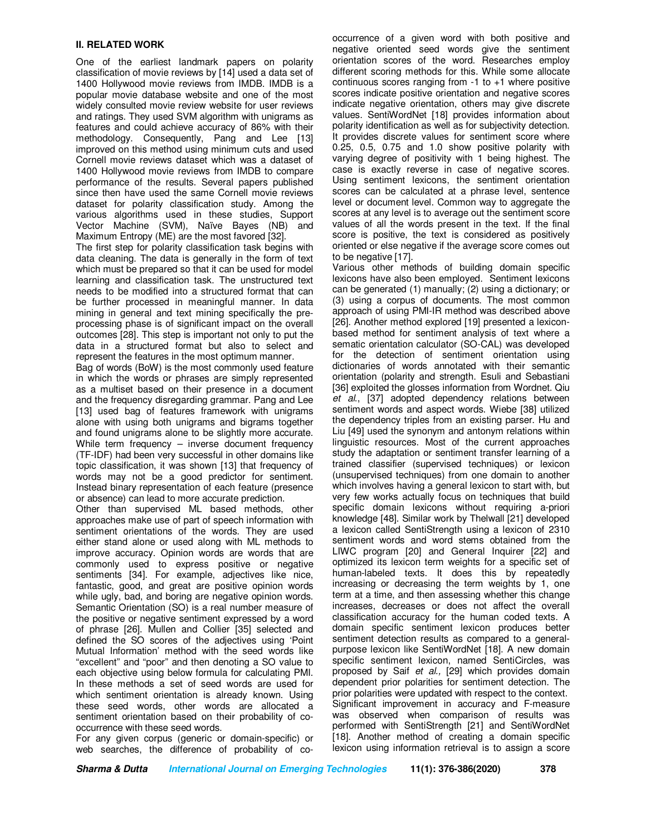#### **II. RELATED WORK**

One of the earliest landmark papers on polarity classification of movie reviews by [14] used a data set of 1400 Hollywood movie reviews from IMDB. IMDB is a popular movie database website and one of the most widely consulted movie review website for user reviews and ratings. They used SVM algorithm with unigrams as features and could achieve accuracy of 86% with their methodology. Consequently, Pang and Lee [13] improved on this method using minimum cuts and used Cornell movie reviews dataset which was a dataset of 1400 Hollywood movie reviews from IMDB to compare performance of the results. Several papers published since then have used the same Cornell movie reviews dataset for polarity classification study. Among the various algorithms used in these studies, Support Vector Machine (SVM), Naïve Bayes (NB) and Maximum Entropy (ME) are the most favored [32].

The first step for polarity classification task begins with data cleaning. The data is generally in the form of text which must be prepared so that it can be used for model learning and classification task. The unstructured text needs to be modified into a structured format that can be further processed in meaningful manner. In data mining in general and text mining specifically the preprocessing phase is of significant impact on the overall outcomes [28]. This step is important not only to put the data in a structured format but also to select and represent the features in the most optimum manner.

Bag of words (BoW) is the most commonly used feature in which the words or phrases are simply represented as a multiset based on their presence in a document and the frequency disregarding grammar. Pang and Lee [13] used bag of features framework with unigrams alone with using both unigrams and bigrams together and found unigrams alone to be slightly more accurate. While term frequency – inverse document frequency (TF-IDF) had been very successful in other domains like topic classification, it was shown [13] that frequency of words may not be a good predictor for sentiment. Instead binary representation of each feature (presence or absence) can lead to more accurate prediction.

Other than supervised ML based methods, other approaches make use of part of speech information with sentiment orientations of the words. They are used either stand alone or used along with ML methods to improve accuracy. Opinion words are words that are commonly used to express positive or negative sentiments [34]. For example, adjectives like nice, fantastic, good, and great are positive opinion words while ugly, bad, and boring are negative opinion words. Semantic Orientation (SO) is a real number measure of the positive or negative sentiment expressed by a word of phrase [26]. Mullen and Collier [35] selected and defined the SO scores of the adjectives using 'Point Mutual Information' method with the seed words like "excellent" and "poor" and then denoting a SO value to each objective using below formula for calculating PMI. In these methods a set of seed words are used for which sentiment orientation is already known. Using these seed words, other words are allocated a sentiment orientation based on their probability of cooccurrence with these seed words.

For any given corpus (generic or domain-specific) or web searches, the difference of probability of cooccurrence of a given word with both positive and negative oriented seed words give the sentiment orientation scores of the word. Researches employ different scoring methods for this. While some allocate continuous scores ranging from  $-1$  to  $+1$  where positive scores indicate positive orientation and negative scores indicate negative orientation, others may give discrete values. SentiWordNet [18] provides information about polarity identification as well as for subjectivity detection. It provides discrete values for sentiment score where 0.25, 0.5, 0.75 and 1.0 show positive polarity with varying degree of positivity with 1 being highest. The case is exactly reverse in case of negative scores. Using sentiment lexicons, the sentiment orientation scores can be calculated at a phrase level, sentence level or document level. Common way to aggregate the scores at any level is to average out the sentiment score values of all the words present in the text. If the final score is positive, the text is considered as positively oriented or else negative if the average score comes out to be negative [17].

Various other methods of building domain specific lexicons have also been employed. Sentiment lexicons can be generated (1) manually; (2) using a dictionary; or (3) using a corpus of documents. The most common approach of using PMI-IR method was described above [26]. Another method explored [19] presented a lexiconbased method for sentiment analysis of text where a sematic orientation calculator (SO-CAL) was developed for the detection of sentiment orientation using dictionaries of words annotated with their semantic orientation (polarity and strength. Esuli and Sebastiani [36] exploited the glosses information from Wordnet. Qiu *et al*., [37] adopted dependency relations between sentiment words and aspect words. Wiebe [38] utilized the dependency triples from an existing parser. Hu and Liu [49] used the synonym and antonym relations within linguistic resources. Most of the current approaches study the adaptation or sentiment transfer learning of a trained classifier (supervised techniques) or lexicon (unsupervised techniques) from one domain to another which involves having a general lexicon to start with, but very few works actually focus on techniques that build specific domain lexicons without requiring a-priori knowledge [48]. Similar work by Thelwall [21] developed a lexicon called SentiStrength using a lexicon of 2310 sentiment words and word stems obtained from the LIWC program [20] and General Inquirer [22] and optimized its lexicon term weights for a specific set of human-labeled texts. It does this by repeatedly increasing or decreasing the term weights by 1, one term at a time, and then assessing whether this change increases, decreases or does not affect the overall classification accuracy for the human coded texts. A domain specific sentiment lexicon produces better sentiment detection results as compared to a generalpurpose lexicon like SentiWordNet [18]. A new domain specific sentiment lexicon, named SentiCircles, was proposed by Saif *et al.,* [29] which provides domain dependent prior polarities for sentiment detection. The prior polarities were updated with respect to the context. Significant improvement in accuracy and F-measure was observed when comparison of results was performed with SentiStrength [21] and SentiWordNet [18]. Another method of creating a domain specific lexicon using information retrieval is to assign a score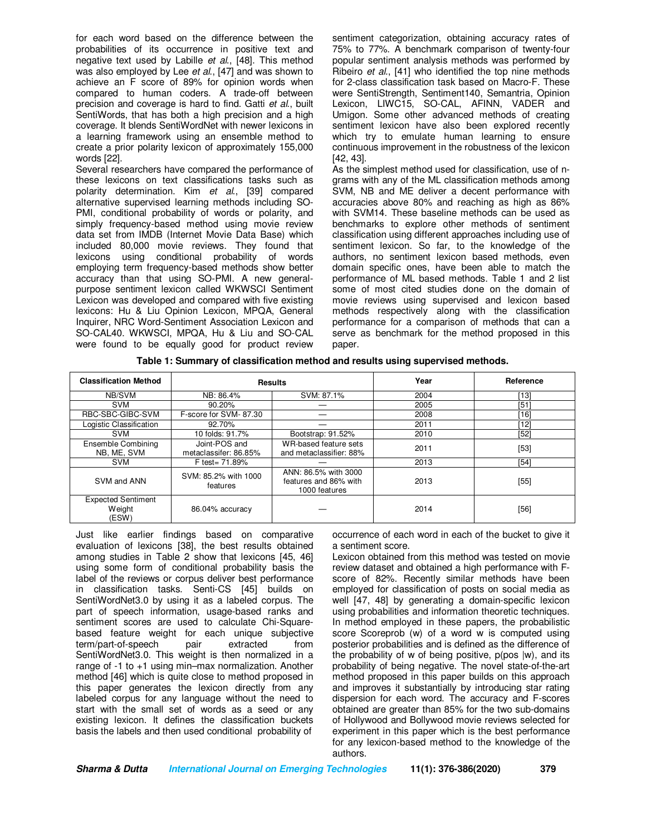for each word based on the difference between the probabilities of its occurrence in positive text and negative text used by Labille *et al*., [48]. This method was also employed by Lee *et al*., [47] and was shown to achieve an F score of 89% for opinion words when compared to human coders. A trade-off between precision and coverage is hard to find. Gatti *et al*., built SentiWords, that has both a high precision and a high coverage. It blends SentiWordNet with newer lexicons in a learning framework using an ensemble method to create a prior polarity lexicon of approximately 155,000 words [22].

Several researchers have compared the performance of these lexicons on text classifications tasks such as polarity determination. Kim *et al*., [39] compared alternative supervised learning methods including SO-PMI, conditional probability of words or polarity, and simply frequency-based method using movie review data set from IMDB (Internet Movie Data Base) which included 80,000 movie reviews. They found that lexicons using conditional probability of words employing term frequency-based methods show better accuracy than that using SO-PMI. A new generalpurpose sentiment lexicon called WKWSCI Sentiment Lexicon was developed and compared with five existing lexicons: Hu & Liu Opinion Lexicon, MPQA, General Inquirer, NRC Word-Sentiment Association Lexicon and SO-CAL40. WKWSCI, MPQA, Hu & Liu and SO-CAL were found to be equally good for product review sentiment categorization, obtaining accuracy rates of 75% to 77%. A benchmark comparison of twenty-four popular sentiment analysis methods was performed by Ribeiro *et al.*, [41] who identified the top nine methods for 2-class classification task based on Macro-F. These were SentiStrength, Sentiment140, Semantria, Opinion Lexicon, LIWC15, SO-CAL, AFINN, VADER and Umigon. Some other advanced methods of creating sentiment lexicon have also been explored recently which try to emulate human learning to ensure continuous improvement in the robustness of the lexicon [42, 43].

As the simplest method used for classification, use of ngrams with any of the ML classification methods among SVM, NB and ME deliver a decent performance with accuracies above 80% and reaching as high as 86% with SVM14. These baseline methods can be used as benchmarks to explore other methods of sentiment classification using different approaches including use of sentiment lexicon. So far, to the knowledge of the authors, no sentiment lexicon based methods, even domain specific ones, have been able to match the performance of ML based methods. Table 1 and 2 list some of most cited studies done on the domain of movie reviews using supervised and lexicon based methods respectively along with the classification performance for a comparison of methods that can a serve as benchmark for the method proposed in this paper.

| <b>Classification Method</b>                 |                                        | <b>Results</b>                                                 | Year | Reference |
|----------------------------------------------|----------------------------------------|----------------------------------------------------------------|------|-----------|
| NB/SVM                                       | NB: 86.4%                              | SVM: 87.1%                                                     | 2004 | '13]      |
| <b>SVM</b>                                   | 90.20%                                 |                                                                | 2005 | [51]      |
| RBC-SBC-GIBC-SVM                             | F-score for SVM-87.30                  |                                                                | 2008 | '161      |
| Logistic Classification                      | 92.70%                                 |                                                                | 2011 | 12]       |
| <b>SVM</b>                                   | 10 folds: 91.7%                        | Bootstrap: 91.52%                                              | 2010 | [52]      |
| Ensemble Combining<br>NB, ME, SVM            | Joint-POS and<br>metaclassifer: 86.85% | WR-based feature sets<br>and metaclassifier: 88%               | 2011 | $[53]$    |
| <b>SVM</b>                                   | F test = 71.89%                        |                                                                | 2013 | [54]      |
| SVM and ANN                                  | SVM: 85.2% with 1000<br>features       | ANN: 86.5% with 3000<br>features and 86% with<br>1000 features | 2013 | $[55]$    |
| <b>Expected Sentiment</b><br>Weight<br>(ESW) | 86.04% accuracy                        |                                                                | 2014 | [56]      |

Just like earlier findings based on comparative evaluation of lexicons [38], the best results obtained among studies in Table 2 show that lexicons [45, 46] using some form of conditional probability basis the label of the reviews or corpus deliver best performance in classification tasks. Senti-CS [45] builds on SentiWordNet3.0 by using it as a labeled corpus. The part of speech information, usage-based ranks and sentiment scores are used to calculate Chi-Squarebased feature weight for each unique subjective<br>term/part-of-speech pair extracted from term/part-of-speech pair extracted from SentiWordNet3.0. This weight is then normalized in a range of -1 to +1 using min–max normalization. Another method [46] which is quite close to method proposed in this paper generates the lexicon directly from any labeled corpus for any language without the need to start with the small set of words as a seed or any existing lexicon. It defines the classification buckets basis the labels and then used conditional probability of

occurrence of each word in each of the bucket to give it a sentiment score.

Lexicon obtained from this method was tested on movie review dataset and obtained a high performance with Fscore of 82%. Recently similar methods have been employed for classification of posts on social media as well [47, 48] by generating a domain-specific lexicon using probabilities and information theoretic techniques. In method employed in these papers, the probabilistic score Scoreprob (w) of a word w is computed using posterior probabilities and is defined as the difference of the probability of w of being positive, p(pos |w), and its probability of being negative. The novel state-of-the-art method proposed in this paper builds on this approach and improves it substantially by introducing star rating dispersion for each word. The accuracy and F-scores obtained are greater than 85% for the two sub-domains of Hollywood and Bollywood movie reviews selected for experiment in this paper which is the best performance for any lexicon-based method to the knowledge of the authors.

| Sharma & Dutta                                        | 11(1): 376-386(2020) |
|-------------------------------------------------------|----------------------|
| <b>International Journal on Emerging Technologies</b> | 379                  |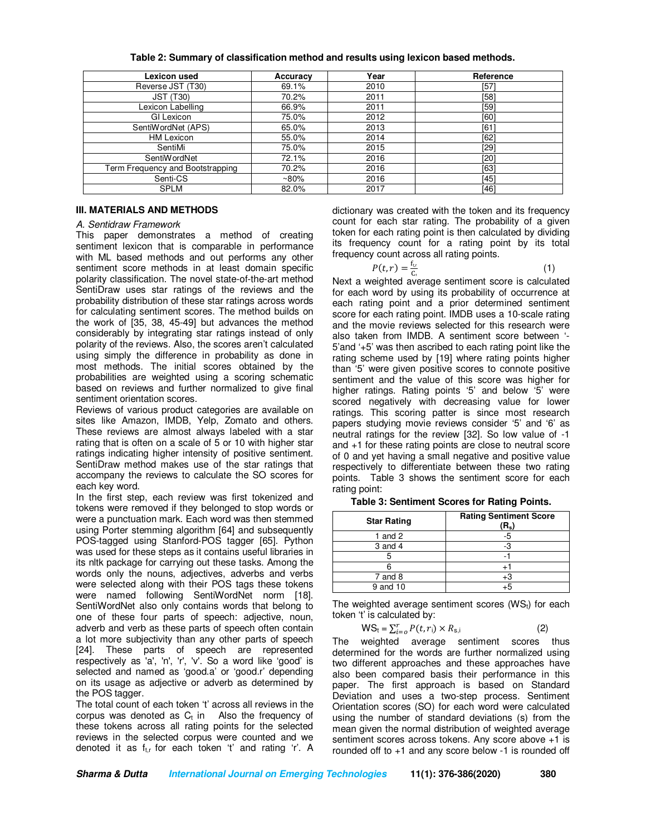| Lexicon used                     | Accuracy | Year | Reference |
|----------------------------------|----------|------|-----------|
| Reverse JST (T30)                | 69.1%    | 2010 | [57]      |
| <b>JST (T30)</b>                 | 70.2%    | 2011 | [58]      |
| Lexicon Labelling                | 66.9%    | 2011 | [59]      |
| GI Lexicon                       | 75.0%    | 2012 | [60]      |
| SentiWordNet (APS)               | 65.0%    | 2013 | F61       |
| <b>HM Lexicon</b>                | 55.0%    | 2014 | [62]      |
| SentiMi                          | 75.0%    | 2015 | [29]      |
| SentiWordNet                     | 72.1%    | 2016 | [20]      |
| Term Frequency and Bootstrapping | 70.2%    | 2016 | [63]      |
| Senti-CS                         | $~80\%$  | 2016 | [45]      |
| <b>SPLM</b>                      | 82.0%    | 2017 | [46]      |

**Table 2: Summary of classification method and results using lexicon based methods.** 

# **III. MATERIALS AND METHODS**

## *A. Sentidraw Framework*

This paper demonstrates a method of creating sentiment lexicon that is comparable in performance with ML based methods and out performs any other sentiment score methods in at least domain specific polarity classification. The novel state-of-the-art method SentiDraw uses star ratings of the reviews and the probability distribution of these star ratings across words for calculating sentiment scores. The method builds on the work of [35, 38, 45-49] but advances the method considerably by integrating star ratings instead of only polarity of the reviews. Also, the scores aren't calculated using simply the difference in probability as done in most methods. The initial scores obtained by the probabilities are weighted using a scoring schematic based on reviews and further normalized to give final sentiment orientation scores.

Reviews of various product categories are available on sites like Amazon, IMDB, Yelp, Zomato and others. These reviews are almost always labeled with a star rating that is often on a scale of 5 or 10 with higher star ratings indicating higher intensity of positive sentiment. SentiDraw method makes use of the star ratings that accompany the reviews to calculate the SO scores for each key word.

In the first step, each review was first tokenized and tokens were removed if they belonged to stop words or were a punctuation mark. Each word was then stemmed using Porter stemming algorithm [64] and subsequently POS-tagged using Stanford-POS tagger [65]. Python was used for these steps as it contains useful libraries in its nltk package for carrying out these tasks. Among the words only the nouns, adjectives, adverbs and verbs were selected along with their POS tags these tokens were named following SentiWordNet norm [18]. SentiWordNet also only contains words that belong to one of these four parts of speech: adjective, noun, adverb and verb as these parts of speech often contain a lot more subjectivity than any other parts of speech [24]. These parts of speech are represented respectively as 'a', 'n', 'r', 'v'. So a word like 'good' is selected and named as 'good.a' or 'good.r' depending on its usage as adjective or adverb as determined by the POS tagger.

The total count of each token 't' across all reviews in the corpus was denoted as  $C_t$  in Also the frequency of these tokens across all rating points for the selected reviews in the selected corpus were counted and we denoted it as  $f_{t,r}$  for each token 't' and rating 'r'. A

dictionary was created with the token and its frequency count for each star rating. The probability of a given token for each rating point is then calculated by dividing its frequency count for a rating point by its total frequency count across all rating points.

 $P(t,r) = \frac{f_{t,r}}{c}$  $\mathsf{C}$  $(1)$ 

Next a weighted average sentiment score is calculated for each word by using its probability of occurrence at each rating point and a prior determined sentiment score for each rating point. IMDB uses a 10-scale rating and the movie reviews selected for this research were also taken from IMDB. A sentiment score between '- 5'and '+5' was then ascribed to each rating point like the rating scheme used by [19] where rating points higher than '5' were given positive scores to connote positive sentiment and the value of this score was higher for higher ratings. Rating points '5' and below '5' were scored negatively with decreasing value for lower ratings. This scoring patter is since most research papers studying movie reviews consider '5' and '6' as neutral ratings for the review [32]. So low value of -1 and +1 for these rating points are close to neutral score of 0 and yet having a small negative and positive value respectively to differentiate between these two rating points. Table 3 shows the sentiment score for each rating point:

| <b>Star Rating</b> | <b>Rating Sentiment Score</b><br>$\left( \mathsf{R}_{\mathsf{s}} \right)$ |
|--------------------|---------------------------------------------------------------------------|
| 1 and 2            | -5                                                                        |
| 3 and 4            | -3                                                                        |
|                    |                                                                           |
|                    | $+$                                                                       |
| $7$ and $8$        | +3                                                                        |
| 9 and 10           | ∓5                                                                        |

**Table 3: Sentiment Scores for Rating Points.**

The weighted average sentiment scores  $(WS_t)$  for each token 't' is calculated by:

$$
WS_t = \sum_{i=0}^{r} P(t, r_i) \times R_{s,i}
$$
 (2)

The weighted average sentiment scores thus determined for the words are further normalized using two different approaches and these approaches have also been compared basis their performance in this paper. The first approach is based on Standard Deviation and uses a two-step process. Sentiment Orientation scores (SO) for each word were calculated using the number of standard deviations (s) from the mean given the normal distribution of weighted average sentiment scores across tokens. Any score above +1 is rounded off to +1 and any score below -1 is rounded off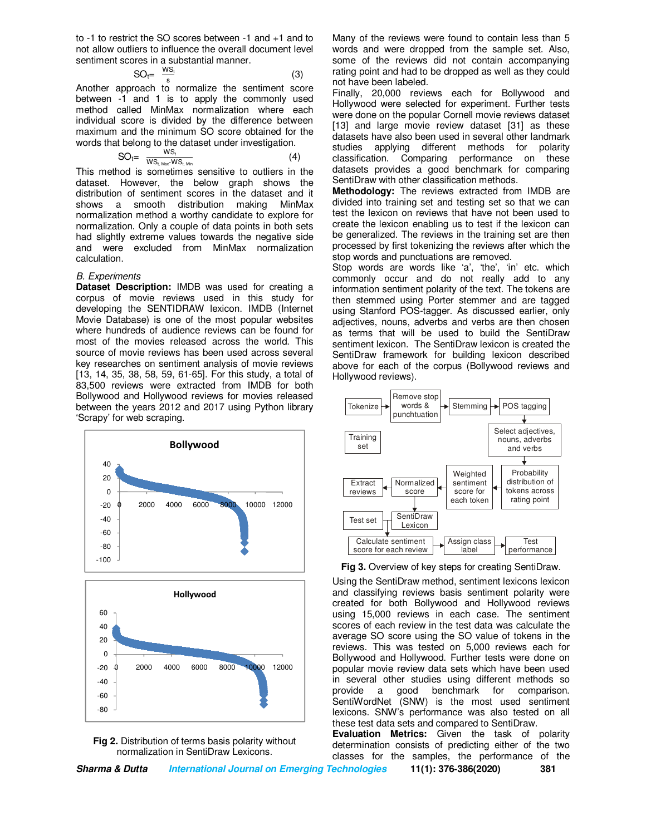to -1 to restrict the SO scores between -1 and +1 and to not allow outliers to influence the overall document level sentiment scores in a substantial manner.

$$
SO_t = \frac{ws_t}{s} \tag{3}
$$

s Another approach to normalize the sentiment score between -1 and 1 is to apply the commonly used method called MinMax normalization where each individual score is divided by the difference between maximum and the minimum SO score obtained for the words that belong to the dataset under investigation.

$$
SO_t = \frac{WS_t}{WS_t_{\text{ Max-WS_t}_{\text{ Min}}}}
$$
 (4)

This method is sometimes sensitive to outliers in the dataset. However, the below graph shows the distribution of sentiment scores in the dataset and it shows a smooth distribution making MinMax normalization method a worthy candidate to explore for normalization. Only a couple of data points in both sets had slightly extreme values towards the negative side and were excluded from MinMax normalization calculation.

#### *B. Experiments*

**Dataset Description: IMDB was used for creating a** corpus of movie reviews used in this study for developing the SENTIDRAW lexicon. IMDB (Internet Movie Database) is one of the most popular websites where hundreds of audience reviews can be found for most of the movies released across the world. This source of movie reviews has been used across several key researches on sentiment analysis of movie reviews [13, 14, 35, 38, 58, 59, 61-65]. For this study, a total of 83,500 reviews were extracted from IMDB for both Bollywood and Hollywood reviews for movies released between the years 2012 and 2017 using Python library 'Scrapy' for web scraping.



**Fig 2.** Distribution of terms basis polarity without normalization in SentiDraw Lexicons.

Many of the reviews were found to contain less than 5 words and were dropped from the sample set. Also, some of the reviews did not contain accompanying rating point and had to be dropped as well as they could not have been labeled.

Finally, 20,000 reviews each for Bollywood and Hollywood were selected for experiment. Further tests were done on the popular Cornell movie reviews dataset [13] and large movie review dataset [31] as these datasets have also been used in several other landmark studies applying different methods for polarity classification. Comparing performance on these datasets provides a good benchmark for comparing SentiDraw with other classification methods.

**Methodology:** The reviews extracted from IMDB are divided into training set and testing set so that we can test the lexicon on reviews that have not been used to create the lexicon enabling us to test if the lexicon can be generalized. The reviews in the training set are then processed by first tokenizing the reviews after which the stop words and punctuations are removed.

Stop words are words like 'a', 'the', 'in' etc. which commonly occur and do not really add to any information sentiment polarity of the text. The tokens are then stemmed using Porter stemmer and are tagged using Stanford POS-tagger. As discussed earlier, only adjectives, nouns, adverbs and verbs are then chosen as terms that will be used to build the SentiDraw sentiment lexicon. The SentiDraw lexicon is created the SentiDraw framework for building lexicon described above for each of the corpus (Bollywood reviews and Hollywood reviews).



**Fig 3.** Overview of key steps for creating SentiDraw.

Using the SentiDraw method, sentiment lexicons lexicon and classifying reviews basis sentiment polarity were created for both Bollywood and Hollywood reviews using 15,000 reviews in each case. The sentiment scores of each review in the test data was calculate the average SO score using the SO value of tokens in the reviews. This was tested on 5,000 reviews each for Bollywood and Hollywood. Further tests were done on popular movie review data sets which have been used in several other studies using different methods so provide a good benchmark for comparison. a good benchmark for comparison. SentiWordNet (SNW) is the most used sentiment lexicons. SNW's performance was also tested on all these test data sets and compared to SentiDraw.

**Evaluation Metrics:** Given the task of polarity determination consists of predicting either of the two classes for the samples, the performance of the

| Sharma & Dutta | International Journal on Emerging Technologies | 11(1): 376-386(2020) | 381 |
|----------------|------------------------------------------------|----------------------|-----|
|                |                                                |                      |     |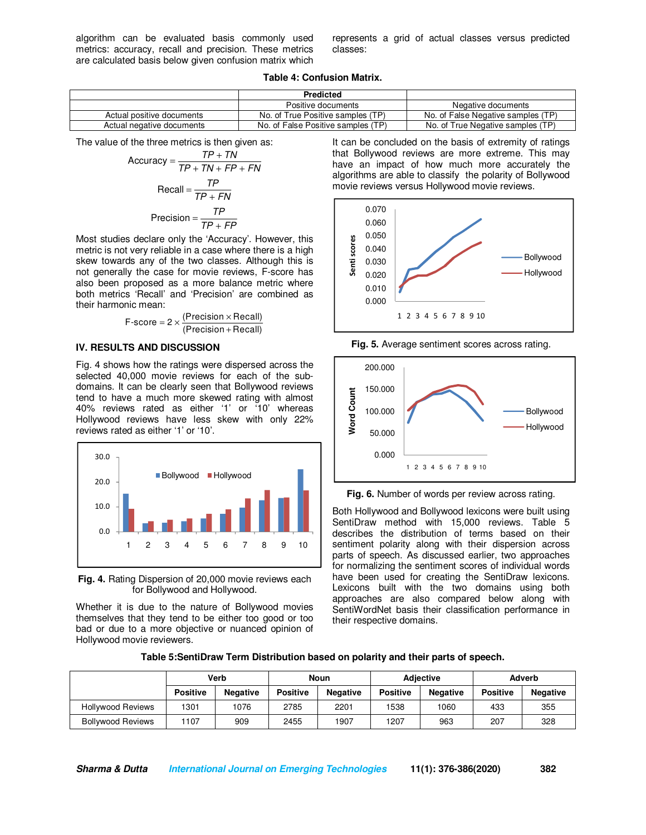algorithm can be evaluated basis commonly used metrics: accuracy, recall and precision. These metrics are calculated basis below given confusion matrix which represents a grid of actual classes versus predicted classes:

**Table 4: Confusion Matrix.** 

|                           | <b>Predicted</b>                   |                                    |
|---------------------------|------------------------------------|------------------------------------|
|                           | Positive documents                 | Negative documents                 |
| Actual positive documents | No. of True Positive samples (TP)  | No. of False Negative samples (TP) |
| Actual negative documents | No. of False Positive samples (TP) | No. of True Negative samples (TP)  |

The value of the three metrics is then given as:

$$
Accuracy = \frac{TP + TN}{TP + TN + FP + FN}
$$

$$
Recall = \frac{TP}{TP + FN}
$$

$$
Precision = \frac{TP}{TP + FP}
$$

Most studies declare only the 'Accuracy'. However, this metric is not very reliable in a case where there is a high skew towards any of the two classes. Although this is not generally the case for movie reviews, F-score has also been proposed as a more balance metric where both metrics 'Recall' and 'Precision' are combined as their harmonic mean:

$$
F\text{-score} = 2 \times \frac{(Precision \times Recall)}{(Precision + Recall)}
$$

#### **IV. RESULTS AND DISCUSSION**

Fig. 4 shows how the ratings were dispersed across the selected 40,000 movie reviews for each of the subdomains. It can be clearly seen that Bollywood reviews tend to have a much more skewed rating with almost 40% reviews rated as either '1' or '10' whereas Hollywood reviews have less skew with only 22% reviews rated as either '1' or '10'.



**Fig. 4.** Rating Dispersion of 20,000 movie reviews each for Bollywood and Hollywood.

Whether it is due to the nature of Bollywood movies themselves that they tend to be either too good or too bad or due to a more objective or nuanced opinion of Hollywood movie reviewers.

It can be concluded on the basis of extremity of ratings that Bollywood reviews are more extreme. This may have an impact of how much more accurately the algorithms are able to classify the polarity of Bollywood movie reviews versus Hollywood movie reviews.



**Fig. 5.** Average sentiment scores across rating.



**Fig. 6.** Number of words per review across rating.

Both Hollywood and Bollywood lexicons were built using SentiDraw method with 15,000 reviews. Table 5 describes the distribution of terms based on their sentiment polarity along with their dispersion across parts of speech. As discussed earlier, two approaches for normalizing the sentiment scores of individual words have been used for creating the SentiDraw lexicons. Lexicons built with the two domains using both approaches are also compared below along with SentiWordNet basis their classification performance in their respective domains.

| Table 5:SentiDraw Term Distribution based on polarity and their parts of speech. |  |  |
|----------------------------------------------------------------------------------|--|--|
|----------------------------------------------------------------------------------|--|--|

|                          |                 | Verb            | <b>Noun</b>     |                 | <b>Adiective</b> |                 | Adverb          |                 |
|--------------------------|-----------------|-----------------|-----------------|-----------------|------------------|-----------------|-----------------|-----------------|
|                          | <b>Positive</b> | <b>Negative</b> | <b>Positive</b> | <b>Negative</b> | <b>Positive</b>  | <b>Negative</b> | <b>Positive</b> | <b>Negative</b> |
| <b>Hollywood Reviews</b> | 1301            | 1076            | 2785            | 2201            | 1538             | 1060            | 433             | 355             |
| <b>Bollywood Reviews</b> | 1107            | 909             | 2455            | 1907            | 1207             | 963             | 207             | 328             |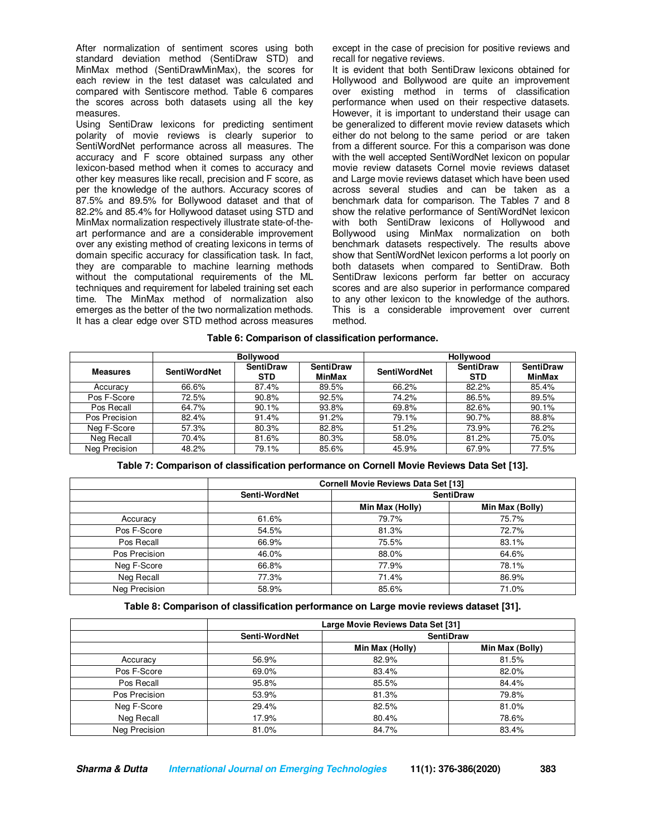After normalization of sentiment scores using both standard deviation method (SentiDraw STD) and MinMax method (SentiDrawMinMax), the scores for each review in the test dataset was calculated and compared with Sentiscore method. Table 6 compares the scores across both datasets using all the key measures.

Using SentiDraw lexicons for predicting sentiment polarity of movie reviews is clearly superior to SentiWordNet performance across all measures. The accuracy and F score obtained surpass any other lexicon-based method when it comes to accuracy and other key measures like recall, precision and F score, as per the knowledge of the authors. Accuracy scores of 87.5% and 89.5% for Bollywood dataset and that of 82.2% and 85.4% for Hollywood dataset using STD and MinMax normalization respectively illustrate state-of-theart performance and are a considerable improvement over any existing method of creating lexicons in terms of domain specific accuracy for classification task. In fact, they are comparable to machine learning methods without the computational requirements of the ML techniques and requirement for labeled training set each time. The MinMax method of normalization also emerges as the better of the two normalization methods. It has a clear edge over STD method across measures except in the case of precision for positive reviews and recall for negative reviews.

It is evident that both SentiDraw lexicons obtained for Hollywood and Bollywood are quite an improvement over existing method in terms of classification performance when used on their respective datasets. However, it is important to understand their usage can be generalized to different movie review datasets which either do not belong to the same period or are taken from a different source. For this a comparison was done with the well accepted SentiWordNet lexicon on popular movie review datasets Cornel movie reviews dataset and Large movie reviews dataset which have been used across several studies and can be taken as a benchmark data for comparison. The Tables 7 and 8 show the relative performance of SentiWordNet lexicon with both SentiDraw lexicons of Hollywood and Bollywood using MinMax normalization on both benchmark datasets respectively. The results above show that SentiWordNet lexicon performs a lot poorly on both datasets when compared to SentiDraw. Both SentiDraw lexicons perform far better on accuracy scores and are also superior in performance compared to any other lexicon to the knowledge of the authors. This is a considerable improvement over current method.

|  |  | Table 6: Comparison of classification performance. |  |
|--|--|----------------------------------------------------|--|
|--|--|----------------------------------------------------|--|

|                 | <b>Bollywood</b>    |                                |                                   |                     | <b>Hollywood</b>               |                                   |  |
|-----------------|---------------------|--------------------------------|-----------------------------------|---------------------|--------------------------------|-----------------------------------|--|
| <b>Measures</b> | <b>SentiWordNet</b> | <b>SentiDraw</b><br><b>STD</b> | <b>SentiDraw</b><br><b>MinMax</b> | <b>SentiWordNet</b> | <b>SentiDraw</b><br><b>STD</b> | <b>SentiDraw</b><br><b>MinMax</b> |  |
| Accuracy        | 66.6%               | 87.4%                          | 89.5%                             | 66.2%               | 82.2%                          | 85.4%                             |  |
| Pos F-Score     | 72.5%               | 90.8%                          | 92.5%                             | 74.2%               | 86.5%                          | 89.5%                             |  |
| Pos Recall      | 64.7%               | 90.1%                          | 93.8%                             | 69.8%               | 82.6%                          | 90.1%                             |  |
| Pos Precision   | 82.4%               | 91.4%                          | 91.2%                             | 79.1%               | 90.7%                          | 88.8%                             |  |
| Neg F-Score     | 57.3%               | 80.3%                          | 82.8%                             | 51.2%               | 73.9%                          | 76.2%                             |  |
| Neg Recall      | 70.4%               | 81.6%                          | 80.3%                             | 58.0%               | 81.2%                          | 75.0%                             |  |
| Neg Precision   | 48.2%               | 79.1%                          | 85.6%                             | 45.9%               | 67.9%                          | 77.5%                             |  |

**Table 7: Comparison of classification performance on Cornell Movie Reviews Data Set [13].** 

|               | <b>Cornell Movie Reviews Data Set [13]</b> |                 |                  |  |  |  |
|---------------|--------------------------------------------|-----------------|------------------|--|--|--|
|               | Senti-WordNet                              |                 | <b>SentiDraw</b> |  |  |  |
|               |                                            | Min Max (Holly) | Min Max (Bolly)  |  |  |  |
| Accuracy      | 61.6%                                      | 79.7%           | 75.7%            |  |  |  |
| Pos F-Score   | 54.5%                                      | 81.3%           | 72.7%            |  |  |  |
| Pos Recall    | 66.9%                                      | 75.5%           | 83.1%            |  |  |  |
| Pos Precision | 46.0%                                      | 88.0%           | 64.6%            |  |  |  |
| Neg F-Score   | 66.8%                                      | 77.9%           | 78.1%            |  |  |  |
| Neg Recall    | 77.3%                                      | 71.4%           | 86.9%            |  |  |  |
| Neg Precision | 58.9%                                      | 85.6%           | 71.0%            |  |  |  |

**Table 8: Comparison of classification performance on Large movie reviews dataset [31].** 

|               | Large Movie Reviews Data Set [31] |                  |                 |
|---------------|-----------------------------------|------------------|-----------------|
|               | Senti-WordNet                     | <b>SentiDraw</b> |                 |
|               |                                   | Min Max (Holly)  | Min Max (Bolly) |
| Accuracy      | 56.9%                             | 82.9%            | 81.5%           |
| Pos F-Score   | 69.0%                             | 83.4%            | 82.0%           |
| Pos Recall    | 95.8%                             | 85.5%            | 84.4%           |
| Pos Precision | 53.9%                             | 81.3%            | 79.8%           |
| Neg F-Score   | 29.4%                             | 82.5%            | 81.0%           |
| Neg Recall    | 17.9%                             | 80.4%            | 78.6%           |
| Neg Precision | 81.0%                             | 84.7%            | 83.4%           |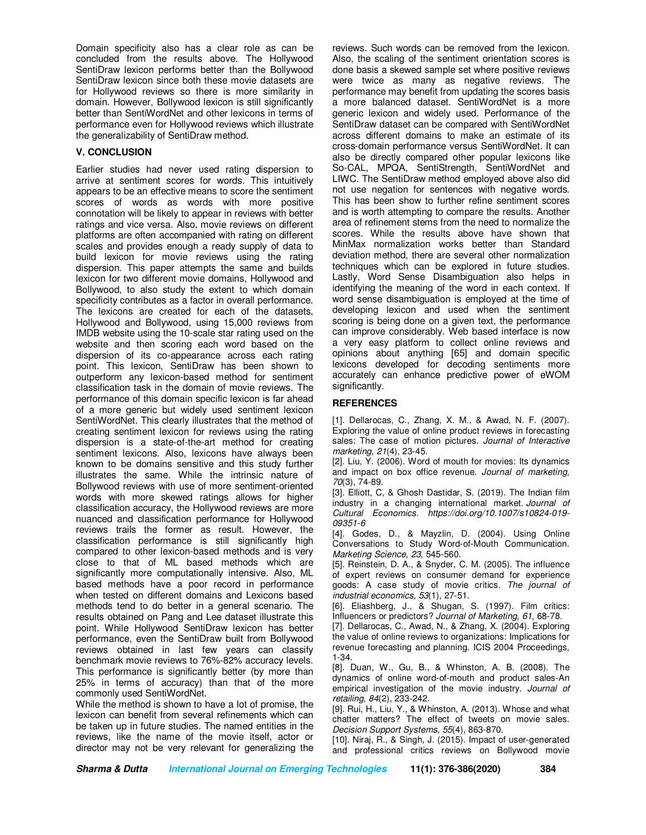Domain specificity also has a clear role as can be concluded from the results above. The Hollywood SentiDraw lexicon performs better than the Bollywood SentiDraw lexicon since both these movie datasets are for Hollywood reviews so there is more similarity in domain. However, Bollywood lexicon is still significantly better than SentiWordNet and other lexicons in terms of performance even for Hollywood reviews which illustrate the generalizability of SentiDraw method.

## **V. CONCLUSION**

Earlier studies had never used rating dispersion to arrive at sentiment scores for words. This intuitively appears to be an effective means to score the sentiment scores of words as words with more positive connotation will be likely to appear in reviews with better ratings and vice versa. Also, movie reviews on different platforms are often accompanied with rating on different scales and provides enough a ready supply of data to build lexicon for movie reviews using the rating dispersion. This paper attempts the same and builds lexicon for two different movie domains, Hollywood and Bollywood, to also study the extent to which domain specificity contributes as a factor in overall performance. The lexicons are created for each of the datasets, Hollywood and Bollywood, using 15,000 reviews from IMDB website using the 10-scale star rating used on the website and then scoring each word based on the dispersion of its co-appearance across each rating point. This lexicon, SentiDraw has been shown to outperform any lexicon-based method for sentiment classification task in the domain of movie reviews. The performance of this domain specific lexicon is far ahead of a more generic but widely used sentiment lexicon SentiWordNet. This clearly illustrates that the method of creating sentiment lexicon for reviews using the rating dispersion is a state-of-the-art method for creating sentiment lexicons. Also, lexicons have always been known to be domains sensitive and this study further illustrates the same. While the intrinsic nature of Bollywood reviews with use of more sentiment-oriented words with more skewed ratings allows for higher classification accuracy, the Hollywood reviews are more nuanced and classification performance for Hollywood reviews trails the former as result. However, the classification performance is still significantly high compared to other lexicon-based methods and is very close to that of ML based methods which are significantly more computationally intensive. Also, ML based methods have a poor record in performance when tested on different domains and Lexicons based methods tend to do better in a general scenario. The results obtained on Pang and Lee dataset illustrate this point. While Hollywood SentiDraw lexicon has better performance, even the SentiDraw built from Bollywood reviews obtained in last few years can classify benchmark movie reviews to 76%-82% accuracy levels. This performance is significantly better (by more than 25% in terms of accuracy) than that of the more commonly used SentiWordNet.

While the method is shown to have a lot of promise, the lexicon can benefit from several refinements which can be taken up in future studies. The named entities in the reviews, like the name of the movie itself, actor or director may not be very relevant for generalizing the reviews. Such words can be removed from the lexicon. Also, the scaling of the sentiment orientation scores is done basis a skewed sample set where positive reviews were twice as many as negative reviews. The performance may benefit from updating the scores basis a more balanced dataset. SentiWordNet is a more generic lexicon and widely used. Performance of the SentiDraw dataset can be compared with SentiWordNet across different domains to make an estimate of its cross-domain performance versus SentiWordNet. It can also be directly compared other popular lexicons like So-CAL, MPQA, SentiStrength, SentiWordNet and LIWC. The SentiDraw method employed above also did not use negation for sentences with negative words. This has been show to further refine sentiment scores and is worth attempting to compare the results. Another area of refinement stems from the need to normalize the scores. While the results above have shown that MinMax normalization works better than Standard deviation method, there are several other normalization techniques which can be explored in future studies. Lastly, Word Sense Disambiguation also helps in identifying the meaning of the word in each context. If word sense disambiguation is employed at the time of developing lexicon and used when the sentiment scoring is being done on a given text, the performance can improve considerably. Web based interface is now a very easy platform to collect online reviews and opinions about anything [65] and domain specific lexicons developed for decoding sentiments more accurately can enhance predictive power of eWOM significantly.

## **REFERENCES**

[1]. Dellarocas, C., Zhang, X. M., & Awad, N. F. (2007). Exploring the value of online product reviews in forecasting sales: The case of motion pictures. *Journal of Interactive marketing*, *21*(4), 23-45.

[2]. Liu, Y. (2006). Word of mouth for movies: Its dynamics and impact on box office revenue. *Journal of marketing, 70*(3), 74-89.

[3]. Elliott, C, & Ghosh Dastidar, S. (2019). The Indian film industry in a changing international market. *Journal of Cultural Economics. https://doi.org/10.1007/s10824-019- 09351-6* 

[4]. Godes, D., & Mayzlin, D. (2004). Using Online Conversations to Study Word-of-Mouth Communication. *Marketing Science*, *23*, 545-560.

[5]. Reinstein, D. A., & Snyder, C. M. (2005). The influence of expert reviews on consumer demand for experience goods: A case study of movie critics. *The journal of industrial economics, 53*(1), 27-51.

[6]. Eliashberg, J., & Shugan, S. (1997). Film critics: Influencers or predictors? *Journal of Marketing*, *61*, 68-78.

[7]. Dellarocas, C., Awad, N., & Zhang, X. (2004). Exploring the value of online reviews to organizations: Implications for revenue forecasting and planning. ICIS 2004 Proceedings, 1-34.

[8]. Duan, W., Gu, B., & Whinston, A. B. (2008). The dynamics of online word-of-mouth and product sales-An empirical investigation of the movie industry. *Journal of retailing*, *84*(2), 233-242.

[9]. Rui, H., Liu, Y., & Whinston, A. (2013). Whose and what chatter matters? The effect of tweets on movie sales. *Decision Support Systems*, *55*(4), 863-870.

[10]. Niraj, R., & Singh, J. (2015). Impact of user-generated and professional critics reviews on Bollywood movie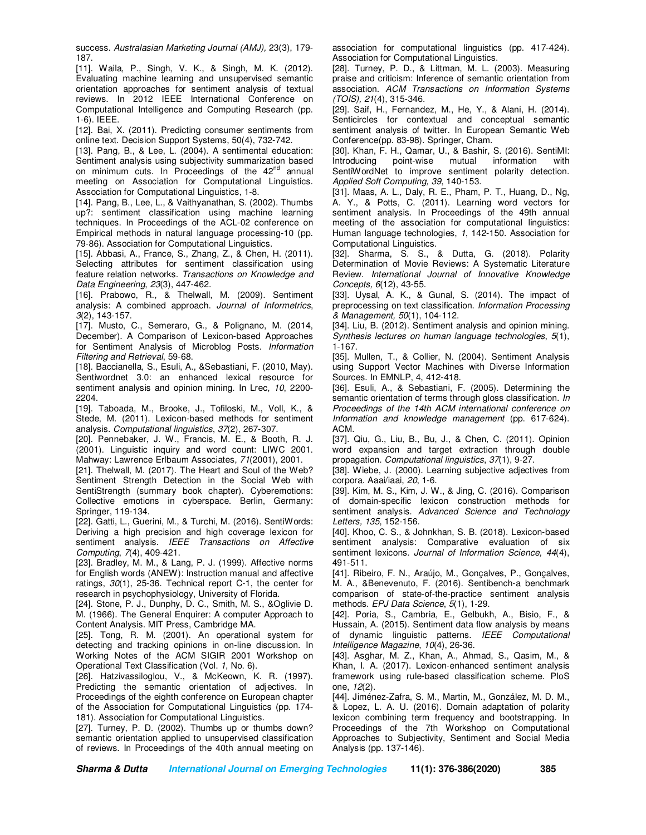success. *Australasian Marketing Journal (AMJ),* 23(3), 179- 187.

[11]. Waila, P., Singh, V. K., & Singh, M. K. (2012). Evaluating machine learning and unsupervised semantic orientation approaches for sentiment analysis of textual reviews. In 2012 IEEE International Conference on Computational Intelligence and Computing Research (pp. 1-6). IEEE.

[12]. Bai, X. (2011). Predicting consumer sentiments from online text. Decision Support Systems, 50(4), 732-742.

[13]. Pang, B., & Lee, L. (2004). A sentimental education: Sentiment analysis using subjectivity summarization based on minimum cuts. In Proceedings of the 42<sup>nd</sup> annual meeting on Association for Computational Linguistics. Association for Computational Linguistics, 1-8.

[14]. Pang, B., Lee, L., & Vaithyanathan, S. (2002). Thumbs up?: sentiment classification using machine learning techniques. In Proceedings of the ACL-02 conference on Empirical methods in natural language processing-10 (pp. 79-86). Association for Computational Linguistics.

[15]. Abbasi, A., France, S., Zhang, Z., & Chen, H. (2011). Selecting attributes for sentiment classification using feature relation networks. *Transactions on Knowledge and Data Engineering*, *23*(3), 447-462.

[16]. Prabowo, R., & Thelwall, M. (2009). Sentiment analysis: A combined approach. *Journal of Informetrics*, *3*(2), 143-157.

[17]. Musto, C., Semeraro, G., & Polignano, M. (2014, December). A Comparison of Lexicon-based Approaches for Sentiment Analysis of Microblog Posts. *Information Filtering and Retrieval*, 59-68.

[18]. Baccianella, S., Esuli, A., &Sebastiani, F. (2010, May). Sentiwordnet 3.0: an enhanced lexical resource for sentiment analysis and opinion mining. In Lrec, *10*, 2200- 2204.

[19]. Taboada, M., Brooke, J., Tofiloski, M., Voll, K., & Stede, M. (2011). Lexicon-based methods for sentiment analysis. *Computational linguistics*, *37*(2), 267-307.

[20]. Pennebaker, J. W., Francis, M. E., & Booth, R. J. (2001). Linguistic inquiry and word count: LIWC 2001. Mahway: Lawrence Erlbaum Associates, *71*(2001), 2001.

[21]. Thelwall, M. (2017). The Heart and Soul of the Web? Sentiment Strength Detection in the Social Web with SentiStrength (summary book chapter). Cyberemotions: Collective emotions in cyberspace. Berlin, Germany: Springer, 119-134.

[22]. Gatti, L., Guerini, M., & Turchi, M. (2016). SentiWords: Deriving a high precision and high coverage lexicon for sentiment analysis. *IEEE Transactions on Affective Computing*, *7*(4), 409-421.

[23]. Bradley, M. M., & Lang, P. J. (1999). Affective norms for English words (ANEW): Instruction manual and affective ratings, *30*(1), 25-36. Technical report C-1, the center for research in psychophysiology, University of Florida.

[24]. Stone, P. J., Dunphy, D. C., Smith, M. S., &Oglivie D. M. (1966). The General Enquirer: A computer Approach to Content Analysis. MIT Press, Cambridge MA.

[25]. Tong, R. M. (2001). An operational system for detecting and tracking opinions in on-line discussion. In Working Notes of the ACM SIGIR 2001 Workshop on Operational Text Classification (Vol. *1*, No. 6).

[26]. Hatzivassiloglou, V., & McKeown, K. R. (1997). Predicting the semantic orientation of adjectives. In Proceedings of the eighth conference on European chapter of the Association for Computational Linguistics (pp. 174- 181). Association for Computational Linguistics.

[27]. Turney, P. D. (2002). Thumbs up or thumbs down? semantic orientation applied to unsupervised classification of reviews. In Proceedings of the 40th annual meeting on

association for computational linguistics (pp. 417-424). Association for Computational Linguistics.

[28]. Turney, P. D., & Littman, M. L. (2003). Measuring praise and criticism: Inference of semantic orientation from association. *ACM Transactions on Information Systems (TOIS), 21*(4), 315-346.

[29]. Saif, H., Fernandez, M., He, Y., & Alani, H. (2014). Senticircles for contextual and conceptual semantic sentiment analysis of twitter. In European Semantic Web Conference(pp. 83-98). Springer, Cham.

[30]. Khan, F. H., Qamar, U., & Bashir, S. (2016). SentiMI: Introducing point-wise mutual information with SentiWordNet to improve sentiment polarity detection. *Applied Soft Computing, 39*, 140-153.

[31]. Maas, A. L., Daly, R. E., Pham, P. T., Huang, D., Ng, A. Y., & Potts, C. (2011). Learning word vectors for sentiment analysis. In Proceedings of the 49th annual meeting of the association for computational linguistics: Human language technologies, *1*, 142-150. Association for Computational Linguistics.

[32]. Sharma, S. S., & Dutta, G. (2018). Polarity Determination of Movie Reviews: A Systematic Literature Review. *International Journal of Innovative Knowledge Concepts, 6*(12), 43-55.

[33]. Uysal, A. K., & Gunal, S. (2014). The impact of preprocessing on text classification. *Information Processing & Management, 50*(1), 104-112.

[34]. Liu, B. (2012). Sentiment analysis and opinion mining. *Synthesis lectures on human language technologies*, *5*(1), 1-167.

[35]. Mullen, T., & Collier, N. (2004). Sentiment Analysis using Support Vector Machines with Diverse Information Sources. In EMNLP, 4, 412-418.

[36]. Esuli, A., & Sebastiani, F. (2005). Determining the semantic orientation of terms through gloss classification. *In Proceedings of the 14th ACM international conference on Information and knowledge management* (pp. 617-624). ACM.

[37]. Qiu, G., Liu, B., Bu, J., & Chen, C. (2011). Opinion word expansion and target extraction through double propagation. *Computational linguistics*, *37*(1), 9-27.

[38]. Wiebe, J. (2000). Learning subjective adjectives from corpora. Aaai/iaai, *20*, 1-6.

[39]. Kim, M. S., Kim, J. W., & Jing, C. (2016). Comparison of domain-specific lexicon construction methods for sentiment analysis. *Advanced Science and Technology Letters, 135*, 152-156.

[40]. Khoo, C. S., & Johnkhan, S. B. (2018). Lexicon-based sentiment analysis: Comparative evaluation of six sentiment lexicons. *Journal of Information Science, 44*(4), 491-511.

[41]. Ribeiro, F. N., Araújo, M., Gonçalves, P., Gonçalves, M. A., &Benevenuto, F. (2016). Sentibench-a benchmark comparison of state-of-the-practice sentiment analysis methods. *EPJ Data Science*, *5*(1), 1-29.

[42]. Poria, S., Cambria, E., Gelbukh, A., Bisio, F., & Hussain, A. (2015). Sentiment data flow analysis by means of dynamic linguistic patterns. *IEEE Computational Intelligence Magazine*, *10*(4), 26-36.

[43]. Asghar, M. Z., Khan, A., Ahmad, S., Qasim, M., & Khan, I. A. (2017). Lexicon-enhanced sentiment analysis framework using rule-based classification scheme. PloS one, *12*(2).

[44]. Jiménez-Zafra, S. M., Martin, M., González, M. D. M., & Lopez, L. A. U. (2016). Domain adaptation of polarity lexicon combining term frequency and bootstrapping. In Proceedings of the 7th Workshop on Computational Approaches to Subjectivity, Sentiment and Social Media Analysis (pp. 137-146).